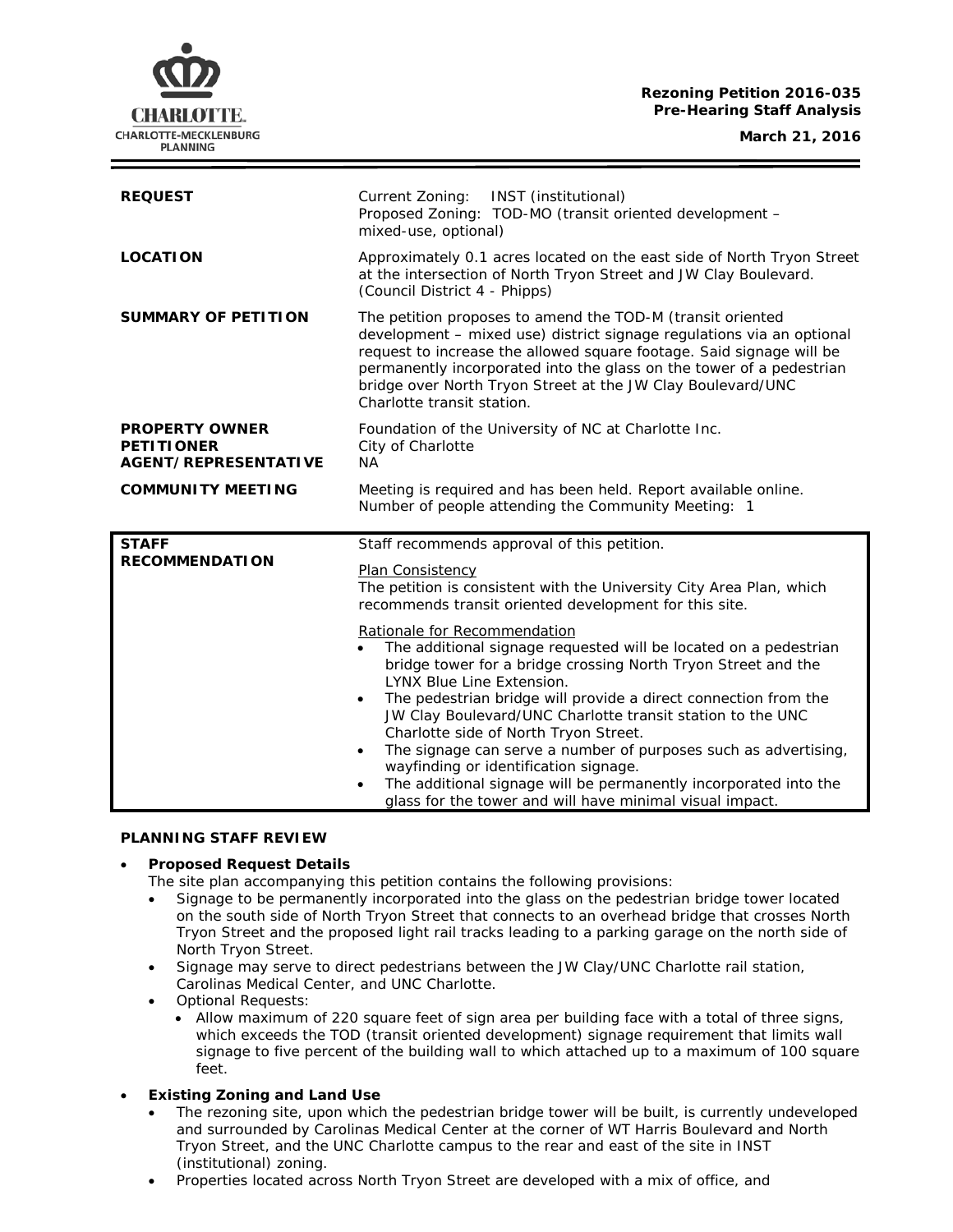#### **Rezoning Petition 2016-035 Pre-Hearing Staff Analysis**

**March 21, 2016**



| <b>REQUEST</b>                                                            | INST (institutional)<br>Current Zoning:<br>Proposed Zoning: TOD-MO (transit oriented development -<br>mixed-use, optional)                                                                                                                                                                                                                                                                                                                                                   |
|---------------------------------------------------------------------------|------------------------------------------------------------------------------------------------------------------------------------------------------------------------------------------------------------------------------------------------------------------------------------------------------------------------------------------------------------------------------------------------------------------------------------------------------------------------------|
| <b>LOCATION</b>                                                           | Approximately 0.1 acres located on the east side of North Tryon Street<br>at the intersection of North Tryon Street and JW Clay Boulevard.<br>(Council District 4 - Phipps)                                                                                                                                                                                                                                                                                                  |
| <b>SUMMARY OF PETITION</b>                                                | The petition proposes to amend the TOD-M (transit oriented<br>development - mixed use) district signage regulations via an optional<br>request to increase the allowed square footage. Said signage will be<br>permanently incorporated into the glass on the tower of a pedestrian<br>bridge over North Tryon Street at the JW Clay Boulevard/UNC<br>Charlotte transit station.                                                                                             |
| <b>PROPERTY OWNER</b><br><b>PETITIONER</b><br><b>AGENT/REPRESENTATIVE</b> | Foundation of the University of NC at Charlotte Inc.<br>City of Charlotte<br><b>NA</b>                                                                                                                                                                                                                                                                                                                                                                                       |
| <b>COMMUNITY MEETING</b>                                                  | Meeting is required and has been held. Report available online.<br>Number of people attending the Community Meeting: 1                                                                                                                                                                                                                                                                                                                                                       |
|                                                                           |                                                                                                                                                                                                                                                                                                                                                                                                                                                                              |
| <b>STAFF</b><br><b>RECOMMENDATION</b>                                     | Staff recommends approval of this petition.<br>Plan Consistency<br>The petition is consistent with the University City Area Plan, which<br>recommends transit oriented development for this site.                                                                                                                                                                                                                                                                            |
|                                                                           | Rationale for Recommendation<br>The additional signage requested will be located on a pedestrian<br>bridge tower for a bridge crossing North Tryon Street and the<br><b>LYNX Blue Line Extension.</b><br>The pedestrian bridge will provide a direct connection from the<br>$\bullet$<br>JW Clay Boulevard/UNC Charlotte transit station to the UNC<br>Charlotte side of North Tryon Street.<br>The signage can serve a number of purposes such as advertising,<br>$\bullet$ |

#### **PLANNING STAFF REVIEW**

# • **Proposed Request Details**

The site plan accompanying this petition contains the following provisions:

- Signage to be permanently incorporated into the glass on the pedestrian bridge tower located on the south side of North Tryon Street that connects to an overhead bridge that crosses North Tryon Street and the proposed light rail tracks leading to a parking garage on the north side of North Tryon Street.
- Signage may serve to direct pedestrians between the JW Clay/UNC Charlotte rail station, Carolinas Medical Center, and UNC Charlotte.
- Optional Requests:
	- Allow maximum of 220 square feet of sign area per building face with a total of three signs, which exceeds the TOD (transit oriented development) signage requirement that limits wall signage to five percent of the building wall to which attached up to a maximum of 100 square feet.
- **Existing Zoning and Land Use**
	- The rezoning site, upon which the pedestrian bridge tower will be built, is currently undeveloped and surrounded by Carolinas Medical Center at the corner of WT Harris Boulevard and North Tryon Street, and the UNC Charlotte campus to the rear and east of the site in INST (institutional) zoning.
	- Properties located across North Tryon Street are developed with a mix of office, and